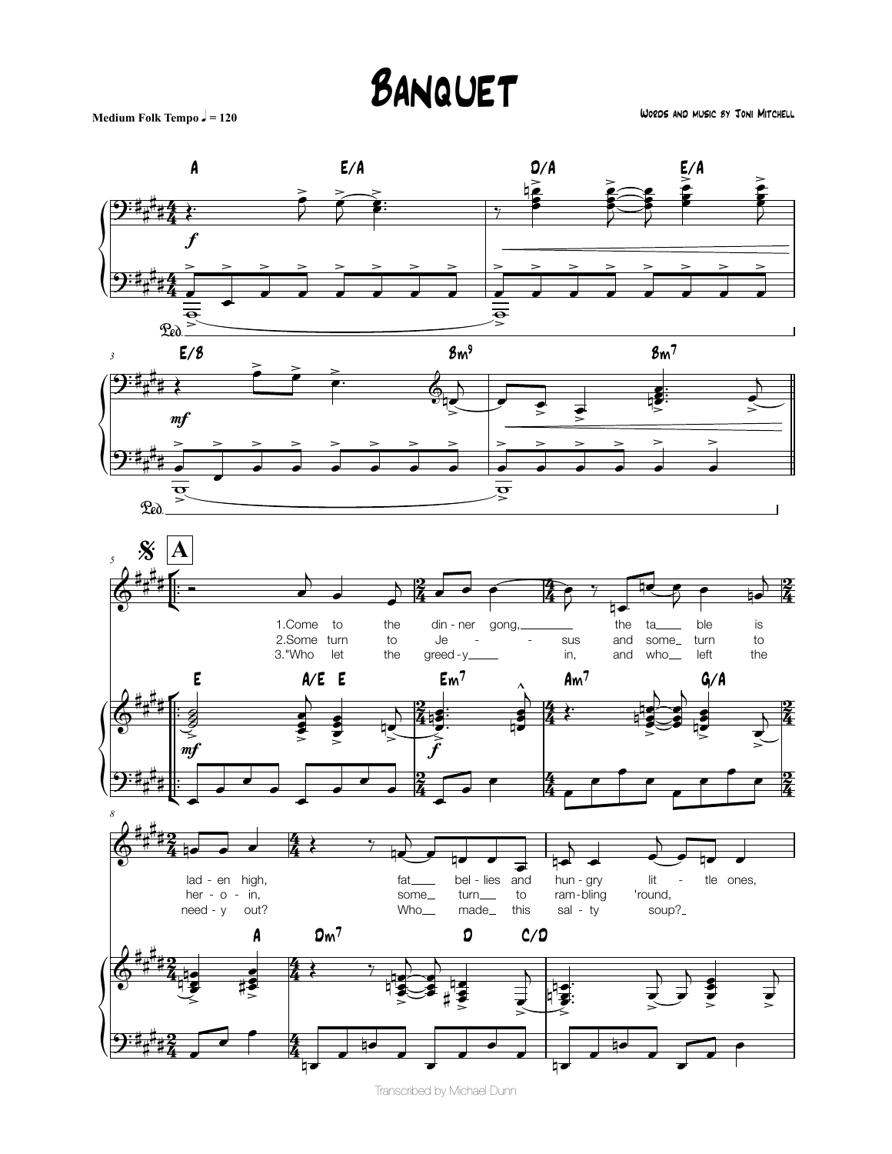## BANQUET

Medium Folk Tempo  $J = 120$ 

WORDS AND MUSIC 8Y JONI MITCHELL



Transcribed by Michael Dunn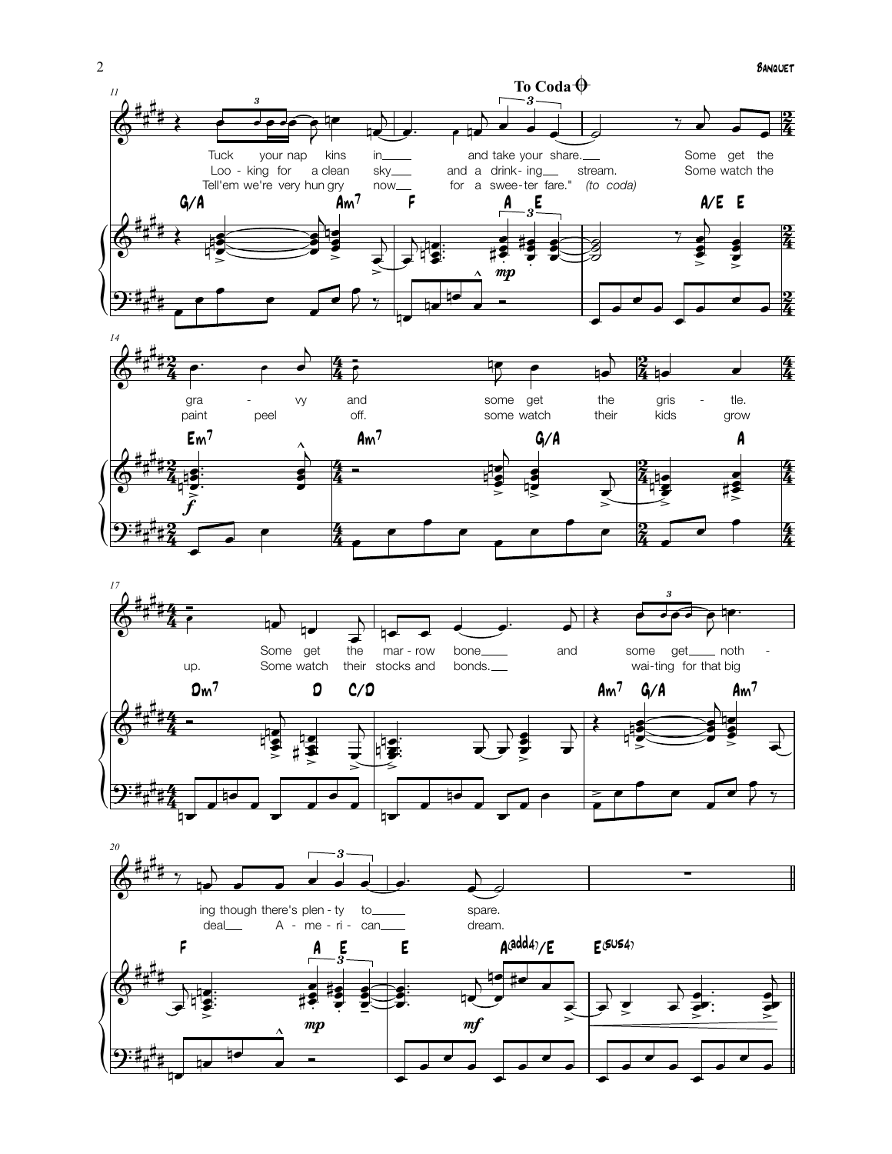



 $2, 7$ 

# $\frac{4}{3}$  ,  $\frac{1}{3}$  ,  $\frac{1}{3}$  ,  $\frac{1}{3}$  ,  $\frac{1}{3}$  ,  $\frac{1}{3}$  ,  $\frac{1}{3}$  ,  $\frac{1}{3}$  ,  $\frac{1}{3}$  ,  $\frac{1}{3}$  ,  $\frac{1}{3}$ 

4

 $\overline{2:4}$ # #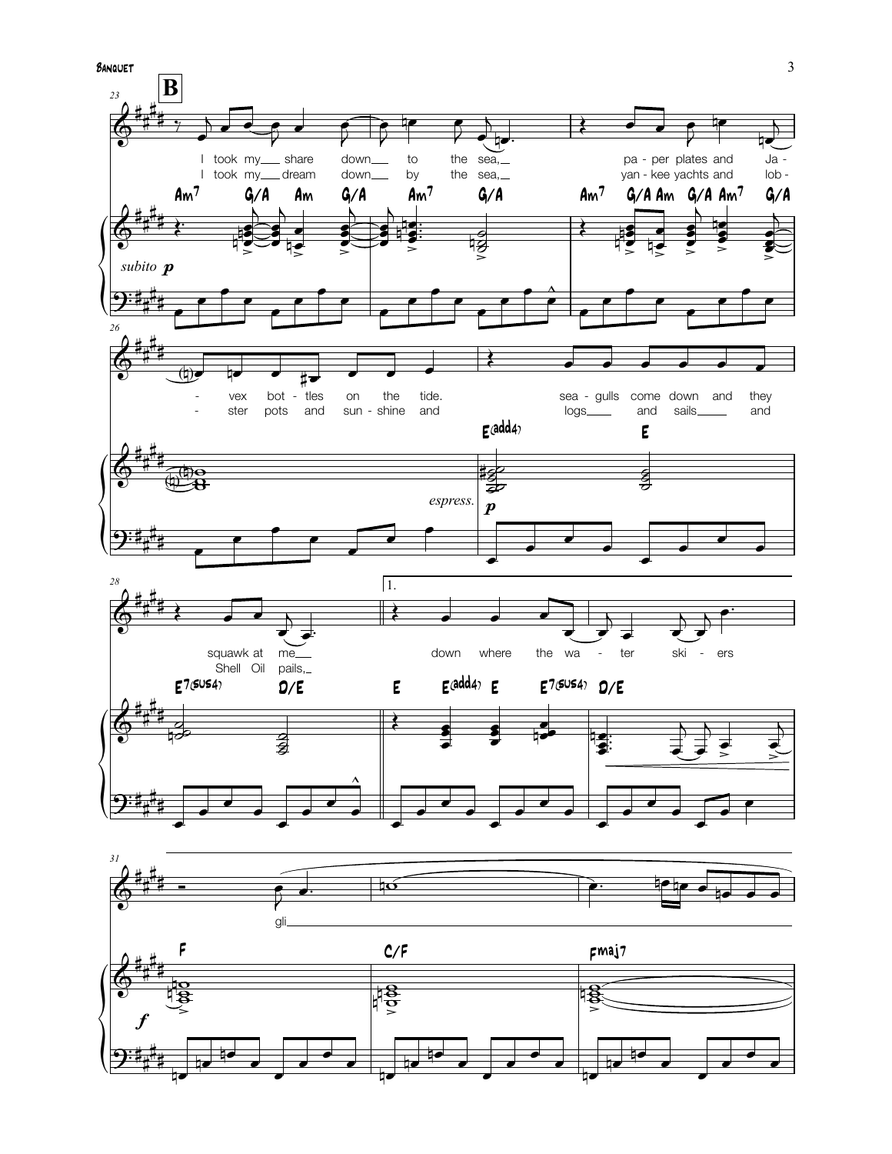

 $\mathfrak{Z}$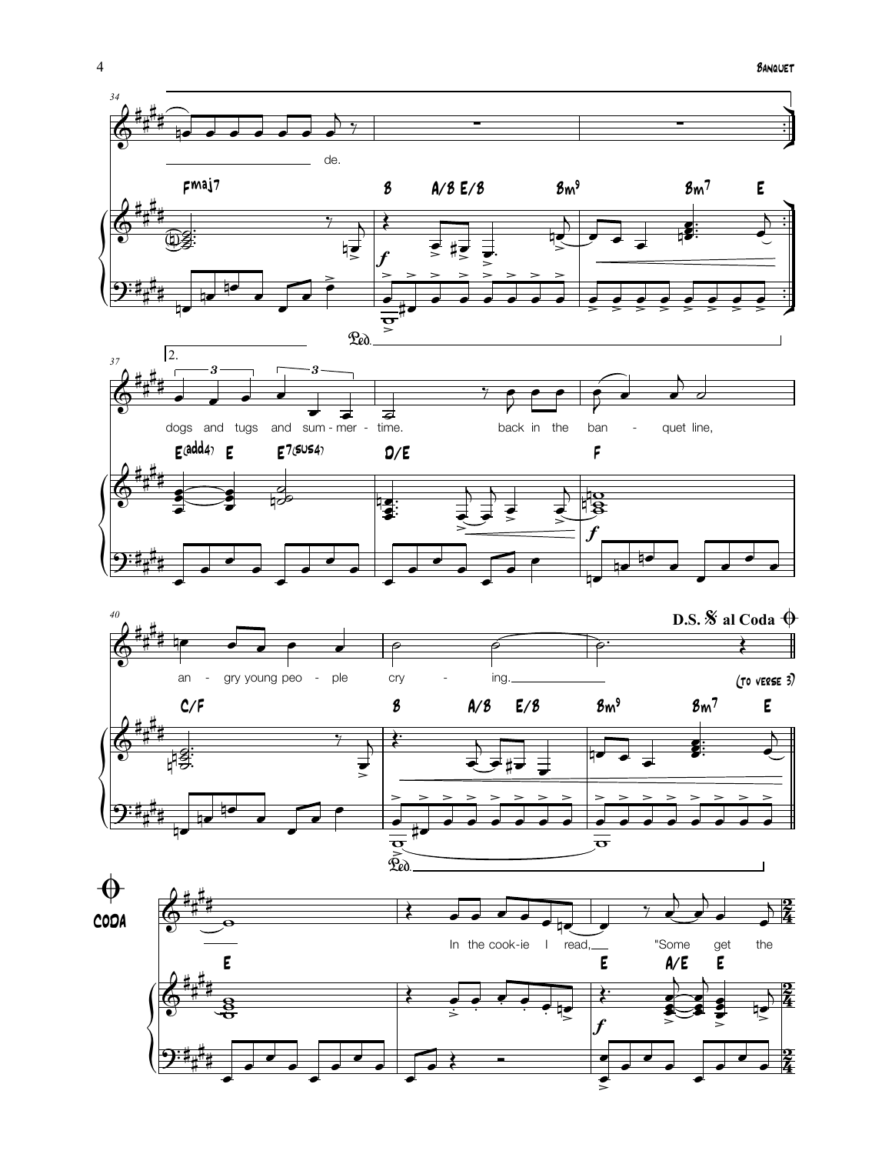



 $\overline{4}$